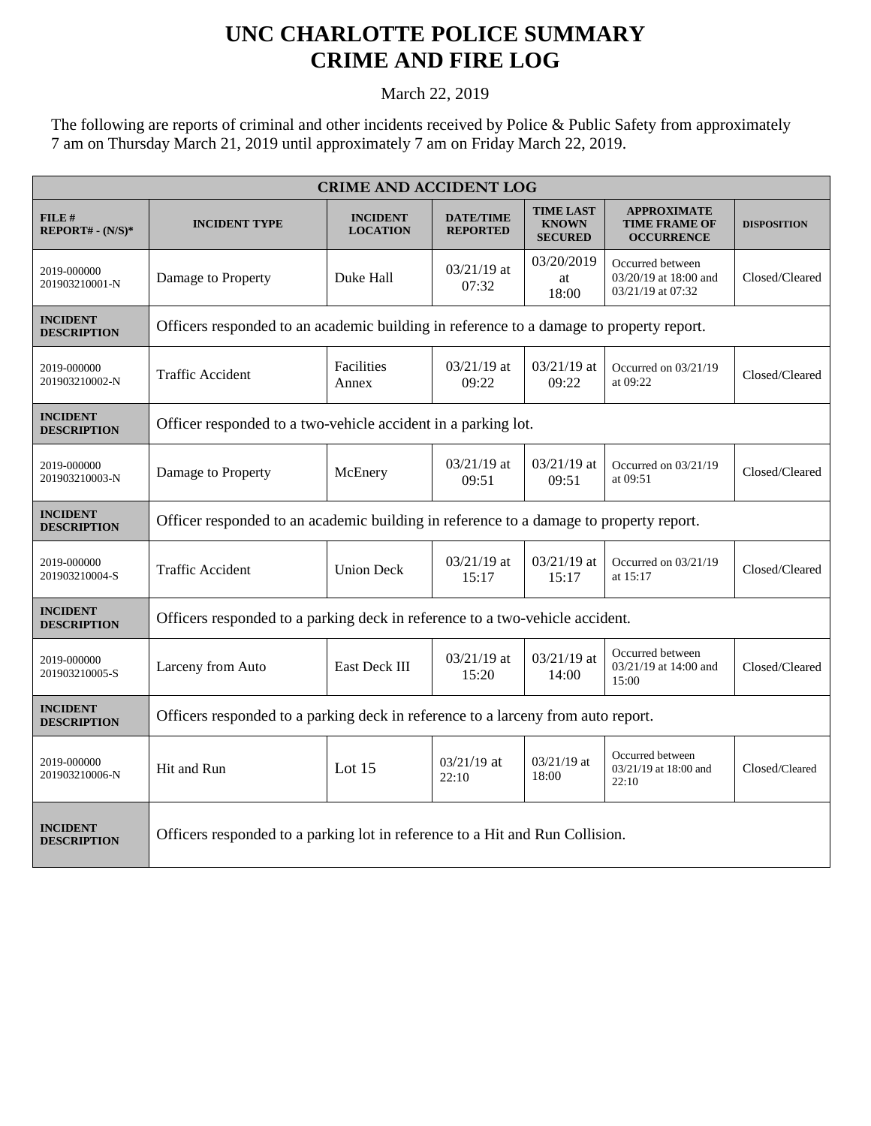## **UNC CHARLOTTE POLICE SUMMARY CRIME AND FIRE LOG**

March 22, 2019

The following are reports of criminal and other incidents received by Police & Public Safety from approximately 7 am on Thursday March 21, 2019 until approximately 7 am on Friday March 22, 2019.

| <b>CRIME AND ACCIDENT LOG</b>         |                                                                                         |                                    |                                     |                                                    |                                                                 |                    |  |
|---------------------------------------|-----------------------------------------------------------------------------------------|------------------------------------|-------------------------------------|----------------------------------------------------|-----------------------------------------------------------------|--------------------|--|
| $FILE$ #<br>$REPORT# - (N/S)*$        | <b>INCIDENT TYPE</b>                                                                    | <b>INCIDENT</b><br><b>LOCATION</b> | <b>DATE/TIME</b><br><b>REPORTED</b> | <b>TIME LAST</b><br><b>KNOWN</b><br><b>SECURED</b> | <b>APPROXIMATE</b><br><b>TIME FRAME OF</b><br><b>OCCURRENCE</b> | <b>DISPOSITION</b> |  |
| 2019-000000<br>201903210001-N         | Damage to Property                                                                      | Duke Hall                          | $03/21/19$ at<br>07:32              | 03/20/2019<br>at<br>18:00                          | Occurred between<br>03/20/19 at 18:00 and<br>03/21/19 at 07:32  | Closed/Cleared     |  |
| <b>INCIDENT</b><br><b>DESCRIPTION</b> | Officers responded to an academic building in reference to a damage to property report. |                                    |                                     |                                                    |                                                                 |                    |  |
| 2019-000000<br>201903210002-N         | <b>Traffic Accident</b>                                                                 | Facilities<br>Annex                | $03/21/19$ at<br>09:22              | $03/21/19$ at<br>09:22                             | Occurred on 03/21/19<br>at 09:22                                | Closed/Cleared     |  |
| <b>INCIDENT</b><br><b>DESCRIPTION</b> | Officer responded to a two-vehicle accident in a parking lot.                           |                                    |                                     |                                                    |                                                                 |                    |  |
| 2019-000000<br>201903210003-N         | Damage to Property                                                                      | McEnery                            | 03/21/19 at<br>09:51                | 03/21/19 at<br>09:51                               | Occurred on 03/21/19<br>at 09:51                                | Closed/Cleared     |  |
| <b>INCIDENT</b><br><b>DESCRIPTION</b> | Officer responded to an academic building in reference to a damage to property report.  |                                    |                                     |                                                    |                                                                 |                    |  |
| 2019-000000<br>201903210004-S         | Traffic Accident                                                                        | <b>Union Deck</b>                  | 03/21/19 at<br>15:17                | 03/21/19 at<br>15:17                               | Occurred on 03/21/19<br>at 15:17                                | Closed/Cleared     |  |
| <b>INCIDENT</b><br><b>DESCRIPTION</b> | Officers responded to a parking deck in reference to a two-vehicle accident.            |                                    |                                     |                                                    |                                                                 |                    |  |
| 2019-000000<br>201903210005-S         | Larceny from Auto                                                                       | East Deck III                      | 03/21/19 at<br>15:20                | 03/21/19 at<br>14:00                               | Occurred between<br>03/21/19 at 14:00 and<br>15:00              | Closed/Cleared     |  |
| <b>INCIDENT</b><br><b>DESCRIPTION</b> | Officers responded to a parking deck in reference to a larceny from auto report.        |                                    |                                     |                                                    |                                                                 |                    |  |
| 2019-000000<br>201903210006-N         | Hit and Run                                                                             | Lot $15$                           | $03/21/19$ at<br>22:10              | $03/21/19$ at<br>18:00                             | Occurred between<br>03/21/19 at 18:00 and<br>22:10              | Closed/Cleared     |  |
| <b>INCIDENT</b><br><b>DESCRIPTION</b> | Officers responded to a parking lot in reference to a Hit and Run Collision.            |                                    |                                     |                                                    |                                                                 |                    |  |